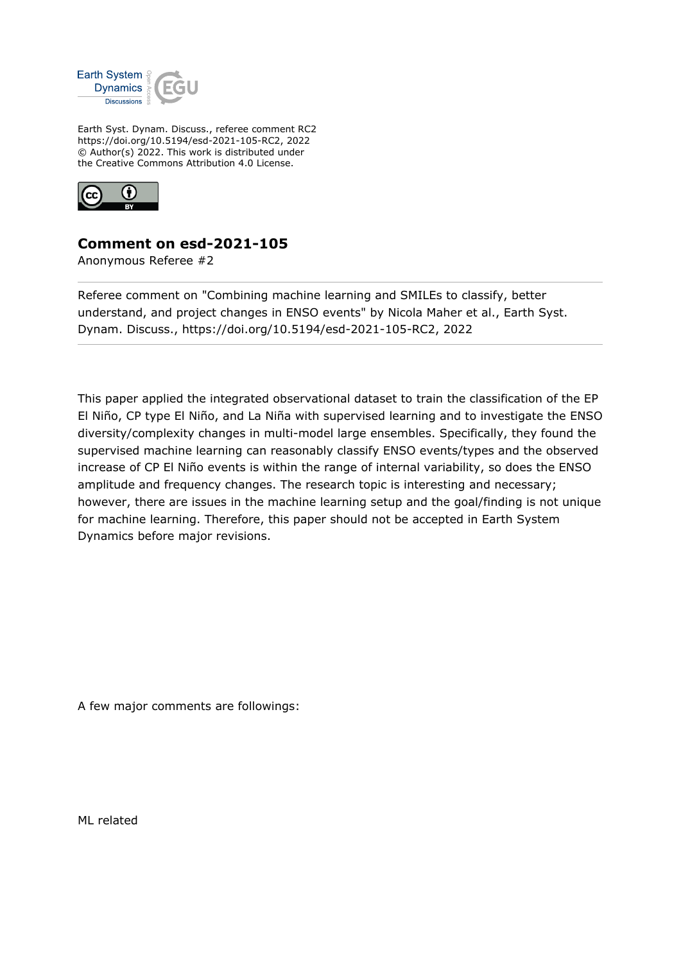

Earth Syst. Dynam. Discuss., referee comment RC2 https://doi.org/10.5194/esd-2021-105-RC2, 2022 © Author(s) 2022. This work is distributed under the Creative Commons Attribution 4.0 License.



## **Comment on esd-2021-105**

Anonymous Referee #2

Referee comment on "Combining machine learning and SMILEs to classify, better understand, and project changes in ENSO events" by Nicola Maher et al., Earth Syst. Dynam. Discuss., https://doi.org/10.5194/esd-2021-105-RC2, 2022

This paper applied the integrated observational dataset to train the classification of the EP El Niño, CP type El Niño, and La Niña with supervised learning and to investigate the ENSO diversity/complexity changes in multi-model large ensembles. Specifically, they found the supervised machine learning can reasonably classify ENSO events/types and the observed increase of CP El Niño events is within the range of internal variability, so does the ENSO amplitude and frequency changes. The research topic is interesting and necessary; however, there are issues in the machine learning setup and the goal/finding is not unique for machine learning. Therefore, this paper should not be accepted in Earth System Dynamics before major revisions.

A few major comments are followings:

ML related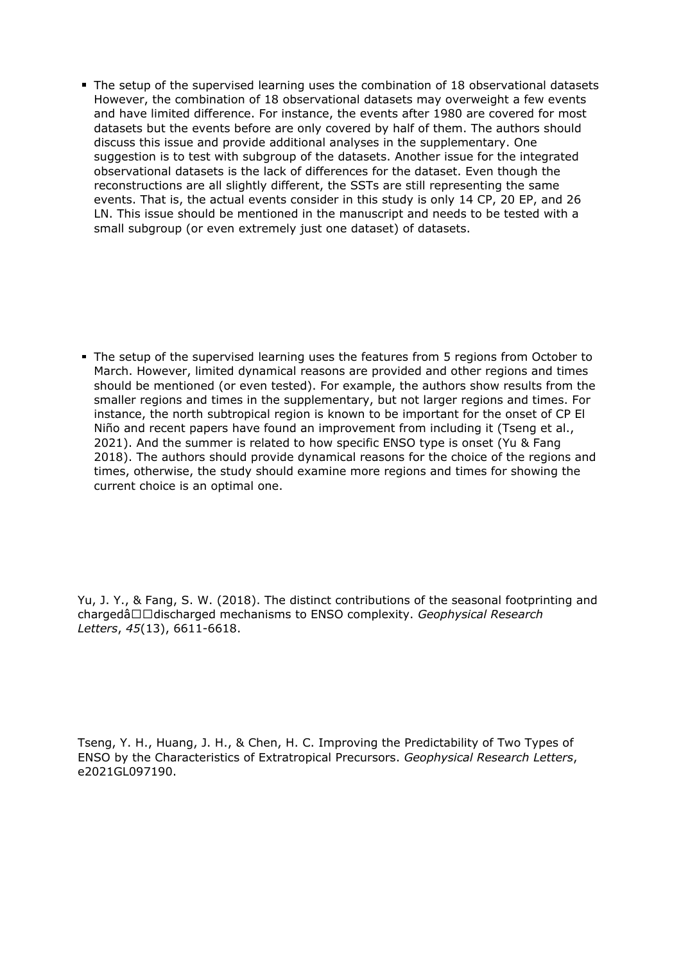The setup of the supervised learning uses the combination of 18 observational datasets However, the combination of 18 observational datasets may overweight a few events and have limited difference. For instance, the events after 1980 are covered for most datasets but the events before are only covered by half of them. The authors should discuss this issue and provide additional analyses in the supplementary. One suggestion is to test with subgroup of the datasets. Another issue for the integrated observational datasets is the lack of differences for the dataset. Even though the reconstructions are all slightly different, the SSTs are still representing the same events. That is, the actual events consider in this study is only 14 CP, 20 EP, and 26 LN. This issue should be mentioned in the manuscript and needs to be tested with a small subgroup (or even extremely just one dataset) of datasets.

The setup of the supervised learning uses the features from 5 regions from October to March. However, limited dynamical reasons are provided and other regions and times should be mentioned (or even tested). For example, the authors show results from the smaller regions and times in the supplementary, but not larger regions and times. For instance, the north subtropical region is known to be important for the onset of CP El Niño and recent papers have found an improvement from including it (Tseng et al., 2021). And the summer is related to how specific ENSO type is onset (Yu & Fang 2018). The authors should provide dynamical reasons for the choice of the regions and times, otherwise, the study should examine more regions and times for showing the current choice is an optimal one.

Yu, J. Y., & Fang, S. W. (2018). The distinct contributions of the seasonal footprinting and chargedâ $\square$ discharged mechanisms to ENSO complexity. *Geophysical Research Letters*, *45*(13), 6611-6618.

Tseng, Y. H., Huang, J. H., & Chen, H. C. Improving the Predictability of Two Types of ENSO by the Characteristics of Extratropical Precursors. *Geophysical Research Letters*, e2021GL097190.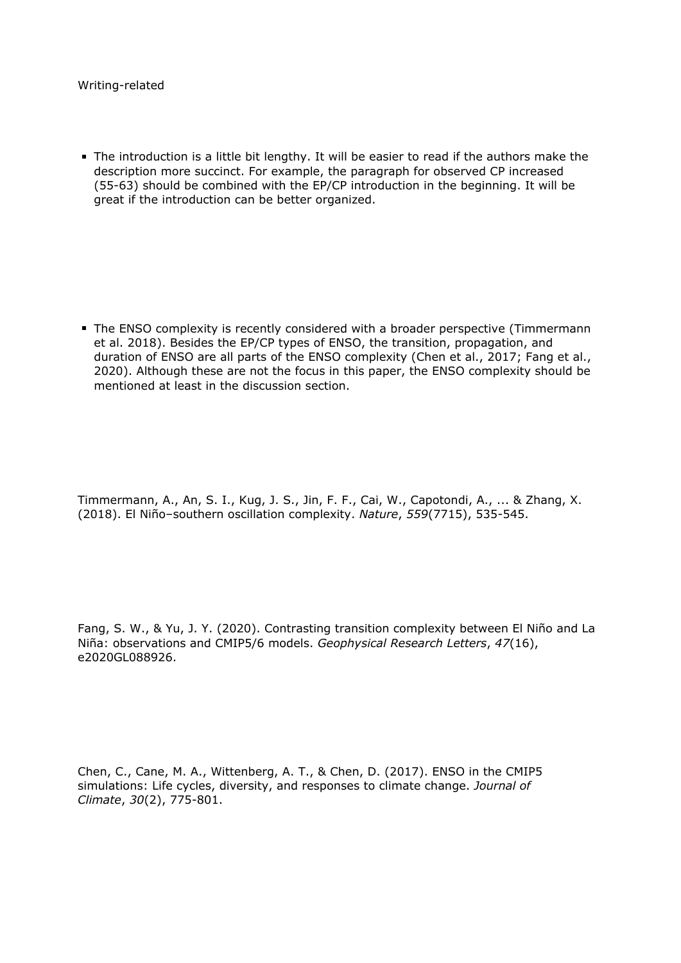## Writing-related

The introduction is a little bit lengthy. It will be easier to read if the authors make the description more succinct. For example, the paragraph for observed CP increased (55-63) should be combined with the EP/CP introduction in the beginning. It will be great if the introduction can be better organized.

• The ENSO complexity is recently considered with a broader perspective (Timmermann et al. 2018). Besides the EP/CP types of ENSO, the transition, propagation, and duration of ENSO are all parts of the ENSO complexity (Chen et al., 2017; Fang et al., 2020). Although these are not the focus in this paper, the ENSO complexity should be mentioned at least in the discussion section.

Timmermann, A., An, S. I., Kug, J. S., Jin, F. F., Cai, W., Capotondi, A., ... & Zhang, X. (2018). El Niño–southern oscillation complexity. *Nature*, *559*(7715), 535-545.

Fang, S. W., & Yu, J. Y. (2020). Contrasting transition complexity between El Niño and La Niña: observations and CMIP5/6 models. *Geophysical Research Letters*, *47*(16), e2020GL088926.

Chen, C., Cane, M. A., Wittenberg, A. T., & Chen, D. (2017). ENSO in the CMIP5 simulations: Life cycles, diversity, and responses to climate change. *Journal of Climate*, *30*(2), 775-801.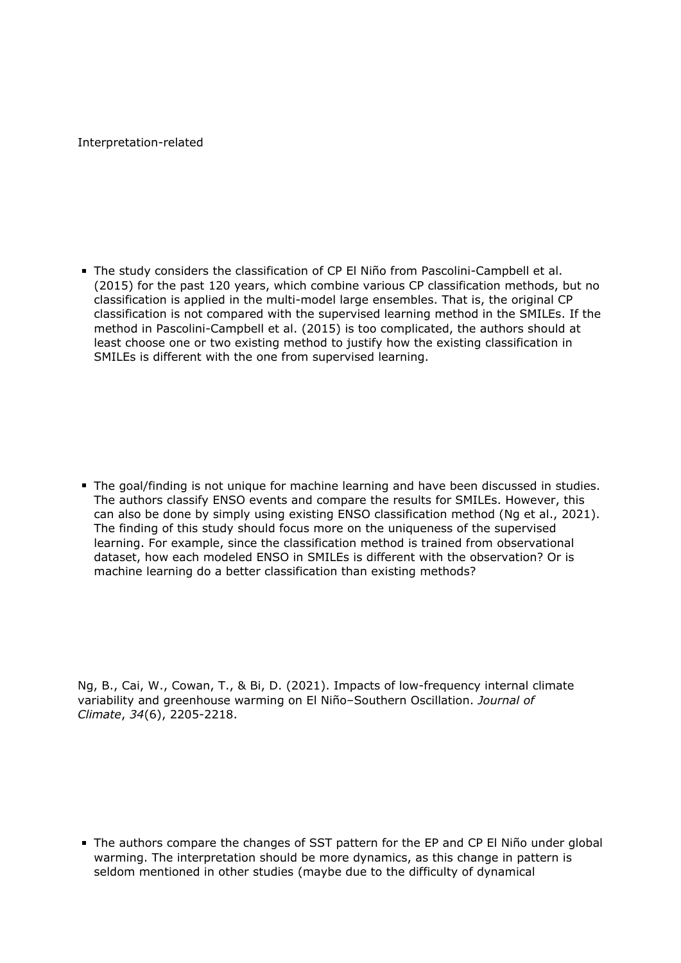Interpretation-related

The study considers the classification of CP El Niño from Pascolini-Campbell et al. (2015) for the past 120 years, which combine various CP classification methods, but no classification is applied in the multi-model large ensembles. That is, the original CP classification is not compared with the supervised learning method in the SMILEs. If the method in Pascolini-Campbell et al. (2015) is too complicated, the authors should at least choose one or two existing method to justify how the existing classification in SMILEs is different with the one from supervised learning.

The goal/finding is not unique for machine learning and have been discussed in studies. The authors classify ENSO events and compare the results for SMILEs. However, this can also be done by simply using existing ENSO classification method (Ng et al., 2021). The finding of this study should focus more on the uniqueness of the supervised learning. For example, since the classification method is trained from observational dataset, how each modeled ENSO in SMILEs is different with the observation? Or is machine learning do a better classification than existing methods?

Ng, B., Cai, W., Cowan, T., & Bi, D. (2021). Impacts of low-frequency internal climate variability and greenhouse warming on El Niño–Southern Oscillation. *Journal of Climate*, *34*(6), 2205-2218.

The authors compare the changes of SST pattern for the EP and CP El Niño under global warming. The interpretation should be more dynamics, as this change in pattern is seldom mentioned in other studies (maybe due to the difficulty of dynamical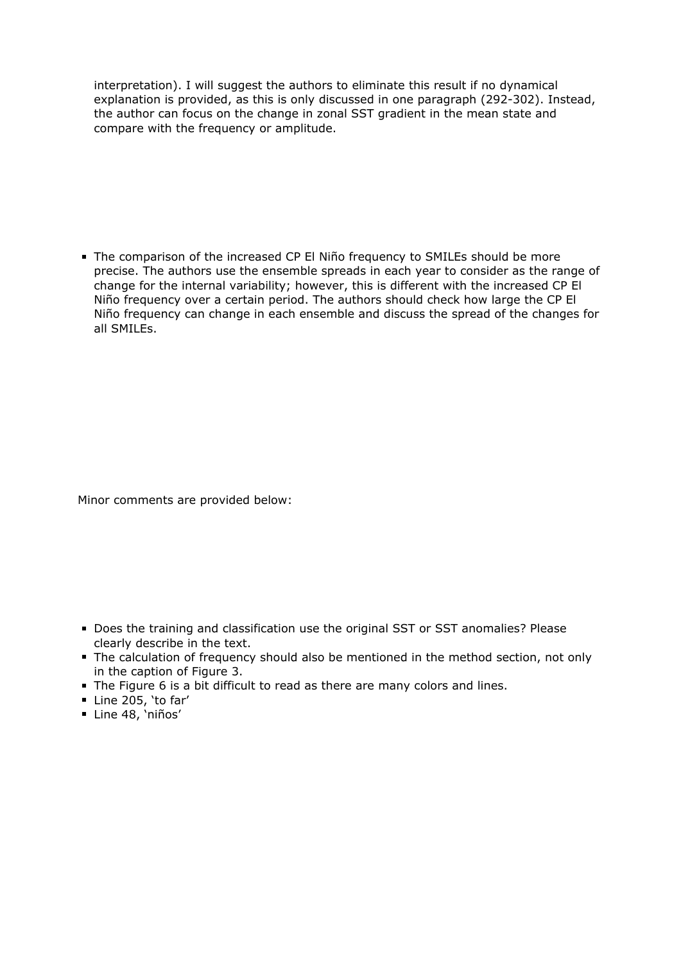interpretation). I will suggest the authors to eliminate this result if no dynamical explanation is provided, as this is only discussed in one paragraph (292-302). Instead, the author can focus on the change in zonal SST gradient in the mean state and compare with the frequency or amplitude.

The comparison of the increased CP El Niño frequency to SMILEs should be more precise. The authors use the ensemble spreads in each year to consider as the range of change for the internal variability; however, this is different with the increased CP El Niño frequency over a certain period. The authors should check how large the CP El Niño frequency can change in each ensemble and discuss the spread of the changes for all SMILEs.

Minor comments are provided below:

- **Does the training and classification use the original SST or SST anomalies? Please** clearly describe in the text.
- The calculation of frequency should also be mentioned in the method section, not only in the caption of Figure 3.
- The Figure 6 is a bit difficult to read as there are many colors and lines.
- Line 205, 'to far'
- Line 48, 'niños'